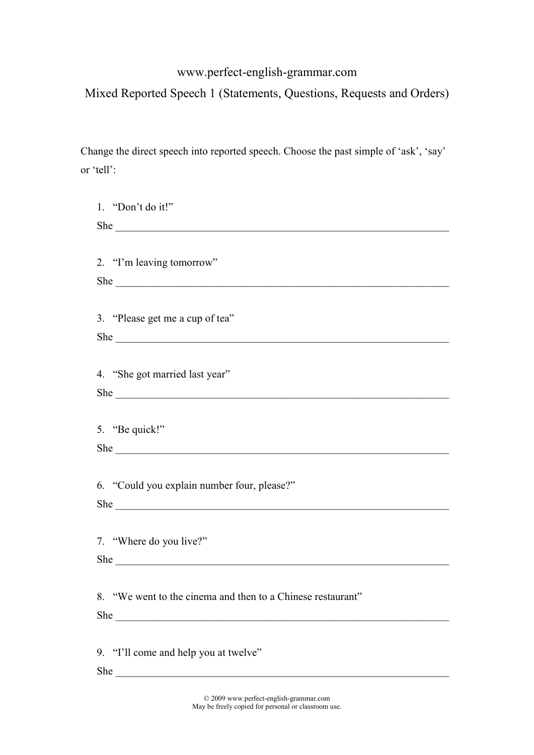## www.perfect-english-grammar.com

## Mixed Reported Speech 1 (Statements, Questions, Requests and Orders)

Change the direct speech into reported speech. Choose the past simple of 'ask', 'say' or 'tell':

| 1. "Don't do it!"                                           |
|-------------------------------------------------------------|
| She                                                         |
|                                                             |
| 2. "I'm leaving tomorrow"                                   |
|                                                             |
|                                                             |
| 3. "Please get me a cup of tea"                             |
|                                                             |
|                                                             |
|                                                             |
| 4. "She got married last year"                              |
|                                                             |
|                                                             |
| 5. "Be quick!"                                              |
|                                                             |
|                                                             |
| 6. "Could you explain number four, please?"                 |
|                                                             |
|                                                             |
| 7. "Where do you live?"                                     |
|                                                             |
|                                                             |
| 8. "We went to the cinema and then to a Chinese restaurant" |
|                                                             |
| She                                                         |
|                                                             |
| 9. "I'll come and help you at twelve"                       |
| She                                                         |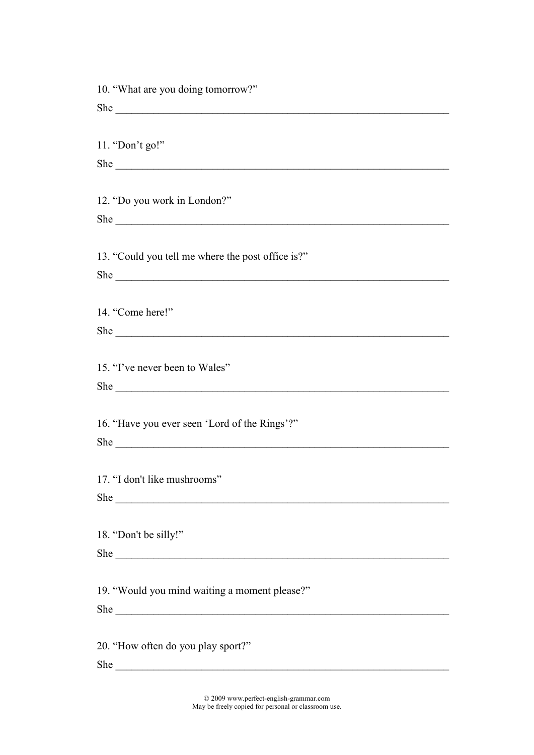| 10. "What are you doing tomorrow?"                                                                                                                                                                                            |
|-------------------------------------------------------------------------------------------------------------------------------------------------------------------------------------------------------------------------------|
|                                                                                                                                                                                                                               |
|                                                                                                                                                                                                                               |
| 11. "Don't go!"                                                                                                                                                                                                               |
|                                                                                                                                                                                                                               |
|                                                                                                                                                                                                                               |
| 12. "Do you work in London?"                                                                                                                                                                                                  |
|                                                                                                                                                                                                                               |
|                                                                                                                                                                                                                               |
| 13. "Could you tell me where the post office is?"                                                                                                                                                                             |
|                                                                                                                                                                                                                               |
|                                                                                                                                                                                                                               |
| 14. "Come here!"                                                                                                                                                                                                              |
|                                                                                                                                                                                                                               |
|                                                                                                                                                                                                                               |
|                                                                                                                                                                                                                               |
| 15. "I've never been to Wales"                                                                                                                                                                                                |
|                                                                                                                                                                                                                               |
|                                                                                                                                                                                                                               |
| 16. "Have you ever seen 'Lord of the Rings'?"                                                                                                                                                                                 |
|                                                                                                                                                                                                                               |
|                                                                                                                                                                                                                               |
| 17. "I don't like mushrooms"                                                                                                                                                                                                  |
| She                                                                                                                                                                                                                           |
|                                                                                                                                                                                                                               |
| 18. "Don't be silly!"                                                                                                                                                                                                         |
| She had a strategie of the state of the state of the state of the state of the state of the state of the state of the state of the state of the state of the state of the state of the state of the state of the state of the |
|                                                                                                                                                                                                                               |
| 19. "Would you mind waiting a moment please?"                                                                                                                                                                                 |
|                                                                                                                                                                                                                               |
|                                                                                                                                                                                                                               |
| 20. "How often do you play sport?"                                                                                                                                                                                            |
| She                                                                                                                                                                                                                           |

© 2009 www.perfect-english-grammar.com May be freely copied for personal or classroom use.